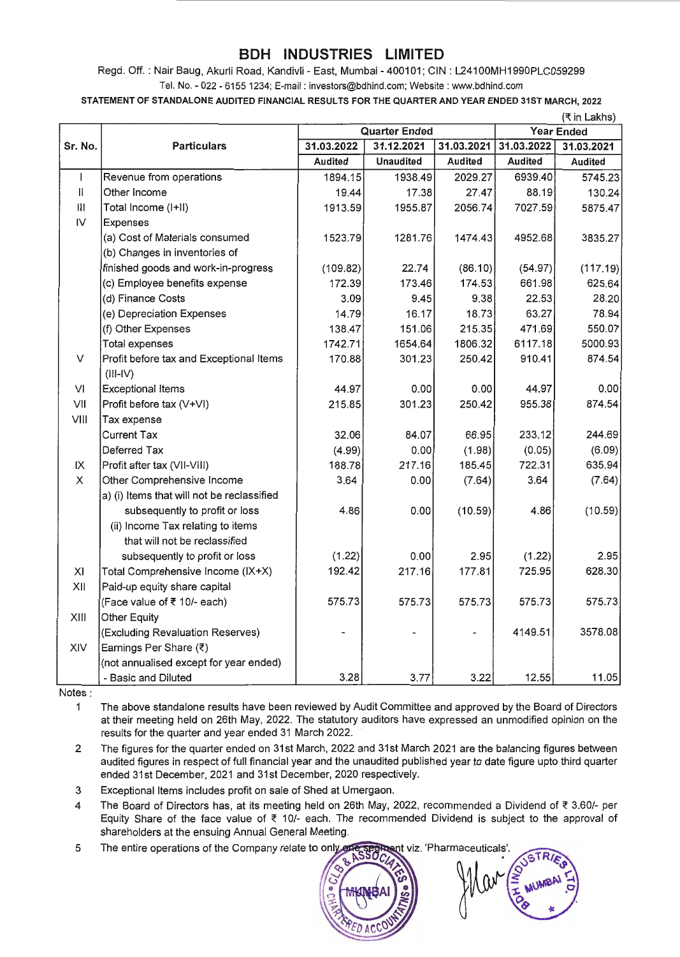## **BDH INDUSTRIES LIMITED**

Regd. Off. : Nair Baug, Akurli Road, Kandivli - East, Mumbai - 400101; CIN : L241OOMH1990PLC059299 Tel. No. - 022 - 6155 1234; E-mail: investors@bdhind.com; Website : www.bdhind.com

STATEMENT OF STANDALONE AUDITED FINANCIAL RESULTS FOR THE QUARTER AND YEAR ENDED 31ST MARCH, 2022

|              |                                            | (₹ in Lakhs)         |                  |            |                   |            |  |
|--------------|--------------------------------------------|----------------------|------------------|------------|-------------------|------------|--|
|              |                                            | <b>Quarter Ended</b> |                  |            | <b>Year Ended</b> |            |  |
| Sr. No.      | <b>Particulars</b>                         | 31.03.2022           | 31.12.2021       | 31.03.2021 | 31.03.2022        | 31.03.2021 |  |
|              |                                            | Audited              | <b>Unaudited</b> | Audited    | <b>Audited</b>    | Audited    |  |
| L            | Revenue from operations                    | 1894.15              | 1938.49          | 2029.27    | 6939.40           | 5745.23    |  |
| $\mathbf{H}$ | Other Income                               | 19.44                | 17.38            | 27.47      | 88.19             | 130.24     |  |
| Ш            | Total Income (I+II)                        | 1913.59              | 1955.87          | 2056.74    | 7027.59           | 5875.47    |  |
| IV           | Expenses                                   |                      |                  |            |                   |            |  |
|              | (a) Cost of Materials consumed             | 1523.79              | 1281.76          | 1474.43    | 4952.68           | 3835.27    |  |
|              | (b) Changes in inventories of              |                      |                  |            |                   |            |  |
|              | finished goods and work-in-progress        | (109.82)             | 22.74            | (86.10)    | (54.97)           | (117.19)   |  |
|              | (c) Employee benefits expense              | 172.39               | 173.46           | 174.53     | 661.98            | 625.64     |  |
|              | (d) Finance Costs                          | 3.09                 | 9.45             | 9.38       | 22.53             | 28,20      |  |
|              | (e) Depreciation Expenses                  | 14.79                | 16.17            | 18.73      | 63.27             | 78.94      |  |
|              | (f) Other Expenses                         | 138.47               | 151.06           | 215.35     | 471.69            | 550.07     |  |
|              | <b>Total expenses</b>                      | 1742.71              | 1654.64          | 1806.32    | 6117.18           | 5000.93    |  |
| V            | Profit before tax and Exceptional Items    | 170.88               | 301.23           | 250.42     | 910.41            | 874.54     |  |
|              | $(III-IV)$                                 |                      |                  |            |                   |            |  |
| VI           | <b>Exceptional Items</b>                   | 44.97                | 0.00             | 0.00       | 44.97             | 0.00       |  |
| VII          | Profit before tax (V+VI)                   | 215.85               | 301.23           | 250.42     | 955.38            | 874.54     |  |
| VIII         | Tax expense                                |                      |                  |            |                   |            |  |
|              | <b>Current Tax</b>                         | 32.06                | 84.07            | 66.95      | 233.12            | 244.69     |  |
|              | Deferred Tax                               | (4.99)               | 0.00             | (1.98)     | (0.05)            | (6.09)     |  |
| IX           | Profit after tax (VII-VIII)                | 188.78               | 217.16           | 185.45     | 722.31            | 635.94     |  |
| $\times$     | Other Comprehensive Income                 | 3.64                 | 0.00             | (7.64)     | 3.64              | (7.64)     |  |
|              | a) (i) Items that will not be reclassified |                      |                  |            |                   |            |  |
|              | subsequently to profit or loss             | 4.86                 | 0.00             | (10.59)    | 4.86              | (10.59)    |  |
|              | (ii) Income Tax relating to items          |                      |                  |            |                   |            |  |
|              | that will not be reclassified              |                      |                  |            |                   |            |  |
|              | subsequently to profit or loss             | (1.22)               | 0.00             | 2.95       | (1.22)            | 2.95       |  |
| XI           | Total Comprehensive Income (IX+X)          | 192.42               | 217.16           | 177.81     | 725.95            | 628.30     |  |
| XII          | Paid-up equity share capital               |                      |                  |            |                   |            |  |
|              | (Face value of ₹ 10/- each)                | 575.73               | 575.73           | 575.73     | 575.73            | 575.73     |  |
| XIII         | Other Equity                               |                      |                  |            |                   |            |  |
|              | (Excluding Revaluation Reserves)           |                      |                  |            | 4149.51           | 3578.08    |  |
| XIV          | Earnings Per Share (₹)                     |                      |                  |            |                   |            |  |
|              | (not annualised except for year ended)     |                      |                  |            |                   |            |  |
|              | - Basic and Diluted                        | 3.28                 | 3.77             | 3.22       | 12.55             | 11.05      |  |

Notes :

1 The above standalone results have been reviewed by Audit Committee and approved by the Board of Directors at their meeting held on 26th May, 2022. The statutory auditors have expressed an unmodified opinion on the results for the quarter and year ended 31 March 2022.

2 The figures for the quarter ended on 31st March, 2022 and 31st March 2021 are the balancing figures between audited figures in respect of full financial year and the unaudited published year to date figure upto third quarter ended 31st December, 2021 and 31st December, 2020 respectively.

3 Exceptional Items includes profit on sale of Shed at Umergaon.

4 The Board of Directors has, at its meeting held on 26th May, 2022, recommended a Dividend of  $\bar{z}$  3.60/- per Equity Share of the face value of  $\bar{\tau}$  10/- each. The recommended Dividend is subject to the approval of shareholders at the ensuing Annual General Meeting.

The entire operations of the Company relate to only **nent viz.** 'Pharmaceuticas' 5

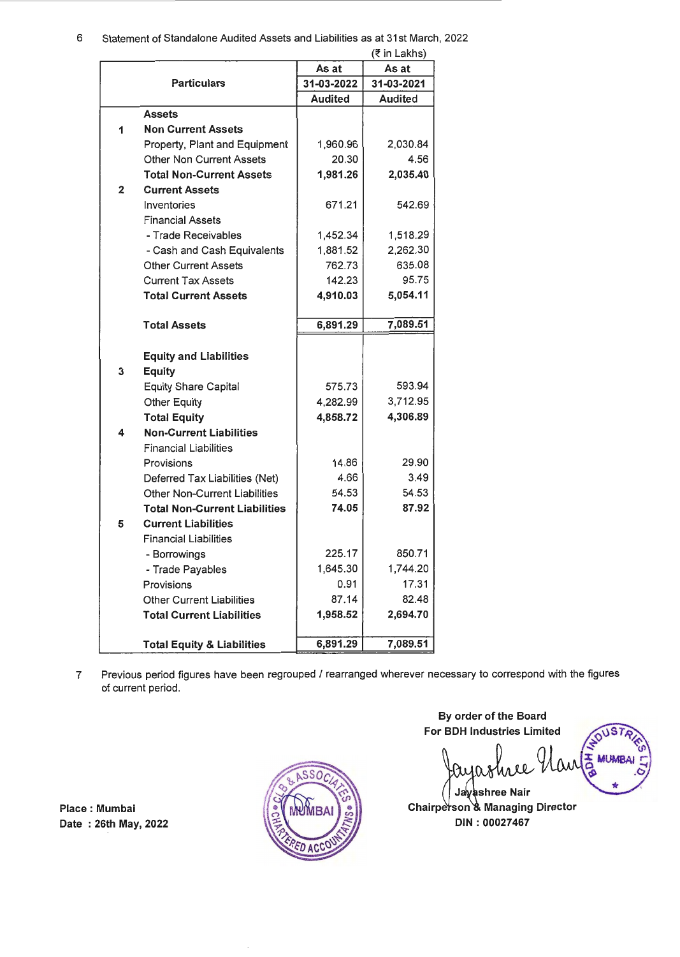#### 6 Statement of Standalone Audited Assets and Liabilities as at 31st March, 2022  $(7 \text{ in } 1 \text{ a}$ khs)

|                    |                                       | (K III Laniis) |            |  |
|--------------------|---------------------------------------|----------------|------------|--|
| <b>Particulars</b> |                                       | As at          | As at      |  |
|                    |                                       | 31-03-2022     | 31-03-2021 |  |
|                    |                                       | <b>Audited</b> | Audited    |  |
|                    | <b>Assets</b>                         |                |            |  |
| 1                  | <b>Non Current Assets</b>             |                |            |  |
|                    | Property, Plant and Equipment         | 1,960.96       | 2,030.84   |  |
|                    | <b>Other Non Current Assets</b>       | 20.30          | 4.56       |  |
|                    | <b>Total Non-Current Assets</b>       | 1,981.26       | 2,035.40   |  |
| $\overline{2}$     | <b>Current Assets</b>                 |                |            |  |
|                    | Inventories                           | 671.21         | 542.69     |  |
|                    | <b>Financial Assets</b>               |                |            |  |
|                    | - Trade Receivables                   | 1,452.34       | 1,518.29   |  |
|                    | - Cash and Cash Equivalents           | 1,881.52       | 2,262.30   |  |
|                    | <b>Other Current Assets</b>           | 762.73         | 635.08     |  |
|                    | <b>Current Tax Assets</b>             | 142.23         | 95.75      |  |
|                    | <b>Total Current Assets</b>           | 4,910.03       | 5,054.11   |  |
|                    |                                       |                |            |  |
|                    | <b>Total Assets</b>                   | 6,891.29       | 7,089.51   |  |
|                    |                                       |                |            |  |
|                    | <b>Equity and Liabilities</b>         |                |            |  |
| 3                  | <b>Equity</b>                         |                |            |  |
|                    | <b>Equity Share Capital</b>           | 575.73         | 593.94     |  |
|                    | <b>Other Equity</b>                   | 4,282.99       | 3,712.95   |  |
|                    | <b>Total Equity</b>                   | 4,858.72       | 4,306.89   |  |
| 4                  | <b>Non-Current Liabilities</b>        |                |            |  |
|                    | <b>Financial Liabilities</b>          |                |            |  |
|                    | Provisions                            | 14.86          | 29.90      |  |
|                    | Deferred Tax Liabilities (Net)        | 4.66           | 3.49       |  |
|                    | <b>Other Non-Current Liabilities</b>  | 54.53          | 54.53      |  |
|                    | <b>Total Non-Current Liabilities</b>  | 74.05          | 87.92      |  |
| 5                  | <b>Current Liabilities</b>            |                |            |  |
|                    | <b>Financial Liabilities</b>          |                |            |  |
|                    | - Borrowings                          | 225.17         | 850.71     |  |
|                    | - Trade Payables                      | 1,645.30       | 1,744.20   |  |
|                    | Provisions                            | 0.91           | 17.31      |  |
|                    | <b>Other Current Liabilities</b>      | 87.14          | 82.48      |  |
|                    | <b>Total Current Liabilities</b>      | 1,958.52       | 2,694.70   |  |
|                    |                                       |                |            |  |
|                    | <b>Total Equity &amp; Liabilities</b> | 6,891.29       | 7,089.51   |  |
|                    |                                       |                |            |  |

7 Previous period figures have been regrouped / rearranged wherever necessary to correspond with the figures of current period.

Place : Mumbai Date : 26th May, 2022



By order of the Board For BDH Industries Limited  $11S7$ ash **MUMBAI** shree Nair

Chairperson & Managing Director DIN: 00027467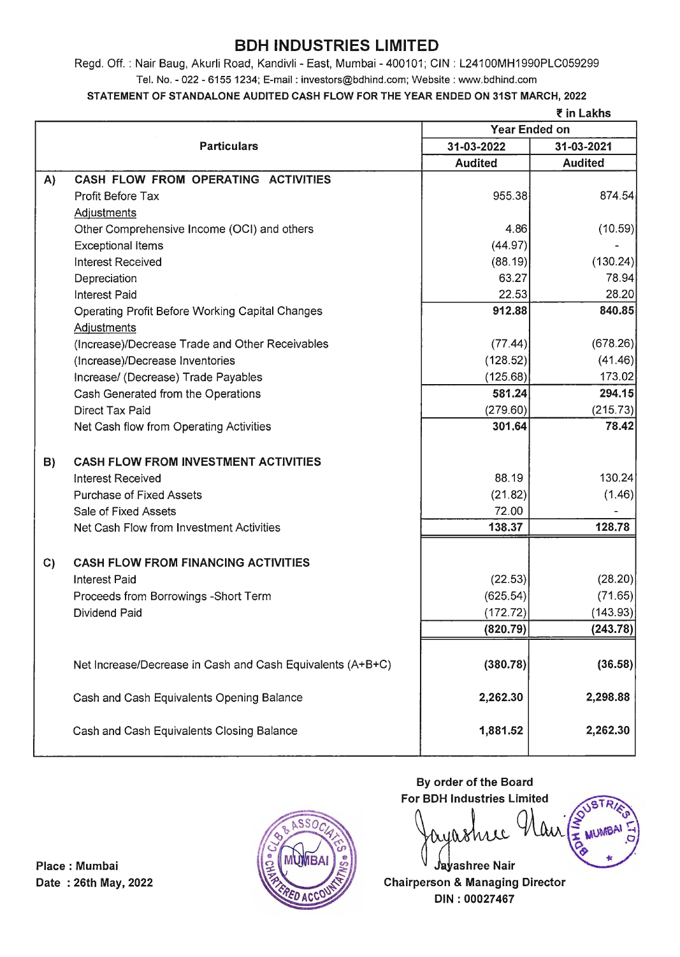# **BDH INDUSTRIES LIMITED**

Regd. Off. : Nair Baug, Akurli Road, Kandivli - East, Mumbai - 400101; CIN : L241OOMH1990PLC059299 Tel. No. - 022 - 6155 1234; E-mail : investors@bdhind.com; Website: www.bdhind.com

### STATEMENT OF STANDALONE AUDITED CASH FLOW FOR THE YEAR ENDED ON 31ST MARCH, 2022

| ₹ in Lakhs |
|------------|
|------------|

|    |                                                            | <b>Year Ended on</b> |                |  |
|----|------------------------------------------------------------|----------------------|----------------|--|
|    | <b>Particulars</b>                                         | 31-03-2022           | 31-03-2021     |  |
|    |                                                            | <b>Audited</b>       | <b>Audited</b> |  |
| A) | CASH FLOW FROM OPERATING ACTIVITIES                        |                      |                |  |
|    | Profit Before Tax                                          | 955.38               | 874.54         |  |
|    | <b>Adjustments</b>                                         |                      |                |  |
|    | Other Comprehensive Income (OCI) and others                | 4.86                 | (10.59)        |  |
|    | <b>Exceptional Items</b>                                   | (44.97)              |                |  |
|    | <b>Interest Received</b>                                   | (88.19)              | (130.24)       |  |
|    | Depreciation                                               | 63.27                | 78.94          |  |
|    | <b>Interest Paid</b>                                       | 22.53                | 28.20          |  |
|    | <b>Operating Profit Before Working Capital Changes</b>     | 912.88               | 840.85         |  |
|    | Adjustments                                                |                      |                |  |
|    | (Increase)/Decrease Trade and Other Receivables            | (77.44)              | (678.26)       |  |
|    | (Increase)/Decrease Inventories                            | (128.52)             | (41.46)        |  |
|    | Increase/ (Decrease) Trade Payables                        | (125.68)             | 173.02         |  |
|    | Cash Generated from the Operations                         | 581.24               | 294.15         |  |
|    | <b>Direct Tax Paid</b>                                     | (279.60)             | (215.73)       |  |
|    | Net Cash flow from Operating Activities                    | 301.64               | 78.42          |  |
| B) | <b>CASH FLOW FROM INVESTMENT ACTIVITIES</b>                |                      |                |  |
|    | <b>Interest Received</b>                                   | 88.19                | 130.24         |  |
|    | <b>Purchase of Fixed Assets</b>                            | (21.82)              | (1.46)         |  |
|    | Sale of Fixed Assets                                       | 72.00                |                |  |
|    | Net Cash Flow from Investment Activities                   | 138.37               | 128.78         |  |
| C) | <b>CASH FLOW FROM FINANCING ACTIVITIES</b>                 |                      |                |  |
|    | <b>Interest Paid</b>                                       | (22.53)              | (28.20)        |  |
|    | Proceeds from Borrowings -Short Term                       | (625.54)             | (71.65)        |  |
|    | Dividend Paid                                              | (172.72)             | (143.93)       |  |
|    |                                                            | (820.79)             | (243.78)       |  |
|    |                                                            |                      |                |  |
|    | Net Increase/Decrease in Cash and Cash Equivalents (A+B+C) | (380.78)             | (36.58)        |  |
|    | Cash and Cash Equivalents Opening Balance                  | 2,262.30             | 2,298.88       |  |
|    | Cash and Cash Equivalents Closing Balance                  | 1,881.52             | 2,262.30       |  |



By order of the Board For BDH Industries Limited

Jayashree Nair Date: 26th May, 2022 **Chairperson & Managing Director** DIN: 00027467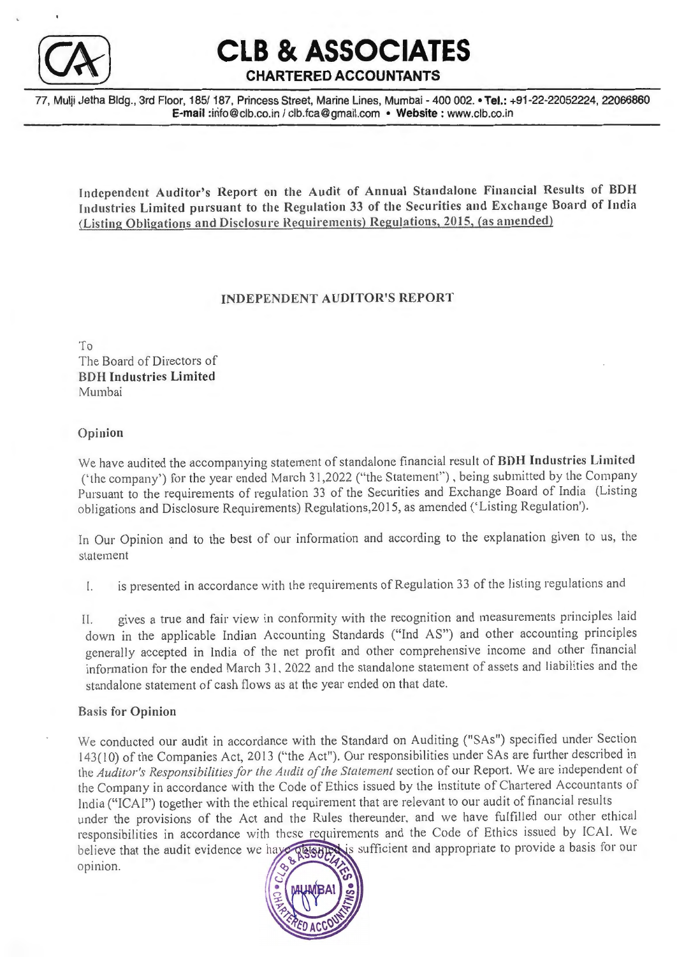

**CLB & ASSOCIATES** 

## **CHARTERED ACCOUNTANTS**

77, Mulii Jetha Bldg., 3rd Floor, 185/ 187, Princess Street, Marine Lines, Mumbai - 400 002. • Tel.: +91-22-22052224, 22066860 E-mail :info@clb.co.in / clb.fca@gmail.com • Website: www.clb.co.in

Independent Auditor's Report on the Audit of Annual Standalone Financial Results of BDH Industries Limited pursuant to the Regulation 33 of the Securities and Exchange Board of India (Listing Obligations and Disclosure Requirements) Regulations, 2015, (as amended)

### INDEPENDENT AUDITOR'S REPORT

To The Board of Directors of BD H Industries Limited Mumbai

#### Opinion

We have audited the accompanying statement of standalone financial result of BDH Industries Limited ('the company') for the year ended March 31,2022 ("the Statement"), being submitted by the Company Pursuant to the requirements of regulation 33 of the Securities and Exchange Board of India (Listing obligations and Disclosure Requirements) Regulations,20 15, as amended ('Listing Regulation').

ln Our Opinion and to the best of our information and according to the explanation given to us, the statement

l. is presented in accordance with the requirements of Regulation 33 of the listing regulations and

II. gives a true and fair view in conformity with the recognition and measurements principles laid down in the applicable Indian Accounting Standards ("Ind AS") and other accounting principles generally accepted in India of the net profit and other comprehensive income and other financial information for the ended March 31, 2022 and the standalone statement of assets and liabilities and the standalone statement of cash flows as at the year ended on that date.

#### Basis for Opinion

We conducted our audit in accordance with the Standard on Auditing ("SAs") specified under Section 143(10) of the Companies Act, 2013 ("the Act"). Our responsibilities under SAs are further described in the Auditor's Responsibilities for the Audit of the Statement section of our Report. We are independent of the Company in accordance with the Code of Ethics issued by the Institute of Chartered Accountants of India ("ICAI") together with the ethical requirement that are relevant to our audit of financial results under the provisions of the Act and the Rules thereunder, and we have fulfilled our other ethical

responsibilities in accordance with these requirements and the Code of Ethics issued by ICAI. We believe that the audit evidence we have played is sufficient and appropriate to provide a basis for our opinion.

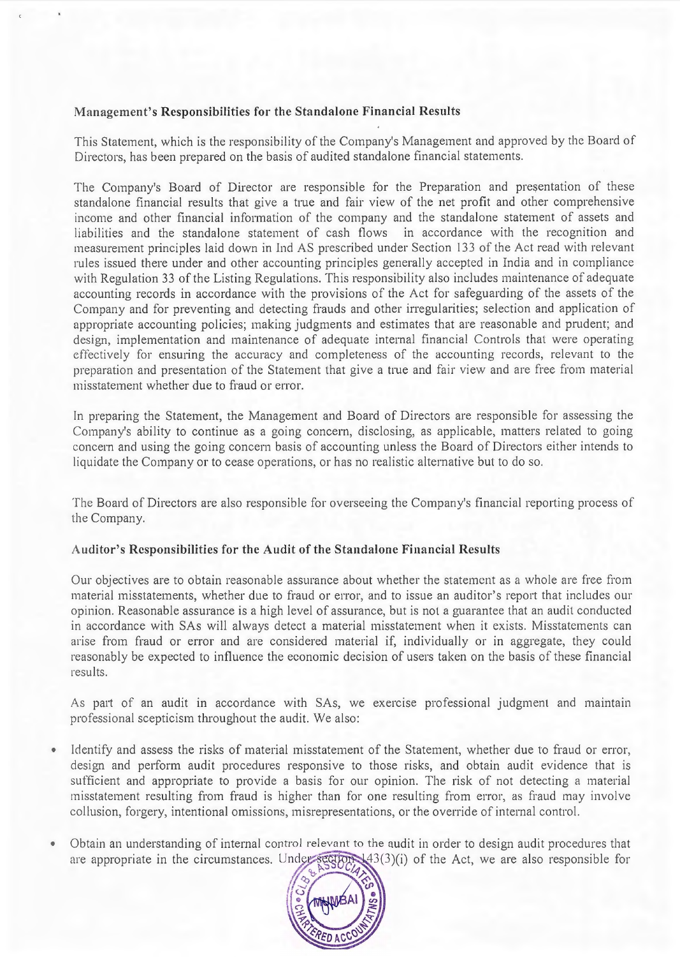### **Management's Responsibilities for the Standalone Financial Results**

This Statement, which is the responsibility of the Company's Management and approved by the Board of Directors, has been prepared on the basis of audited standalone financial statements.

The Company's Board of Director are responsible for the Preparation and presentation of these standalone financial results that give a true and fair view of the net profit and other comprehensive income and other financial information of the company and the standalone statement of assets and liabilities and the standalone statement of cash flows in accordance with the recognition and measurement principles laid down in Ind AS prescribed under Section 13 3 of the Act read with relevant rules issued there under and other accounting principles generally accepted in India and in compliance with Regulation 33 of the Listing Regulations. This responsibility also includes maintenance of adequate accounting records in accordance with the provisions of the Act for safeguarding of the assets of the Company and for preventing and detecting frauds and other irregularities; selection and application of appropriate accounting policies; making judgments and estimates that are reasonable and prudent; and design, implementation and maintenance of adequate internal financial Controls that were operating effectively for ensuring the accuracy and completeness of the accounting records, relevant to the preparation and presentation of the Statement that give a true and fair view and are free from material misstatement whether due to fraud or error.

In preparing the Statement, the Management and Board of Directors are responsible for assessing the Company's ability to continue as a going concern, disclosing, as applicable, matters related to going concern and using the going concern basis of accounting unless the Board of Directors either intends to liquidate the Company or to cease operations, or has no realistic alternative but to do so.

The Board of Directors are also responsible for overseeing the Company's financial reporting process of the Company.

#### **Audi tor's Responsibilities for the A udit of the Standalone Financial Results**

Our objectives are to obtain reasonable assurance about whether the statement as a whole are free from material misstatements, whether due to fraud or error, and to issue an auditor's report that includes our opinion. Reasonable assurance is a high level of assurance, but is not a guarantee that an audit conducted in accordance with SAs will always detect a material misstatement when it exists. Misstatements can arise from fraud or error and are considered material if, individually or in aggregate, they could reasonably be expected to influence the economic decision of users taken on the basis of these financial results.

As part of an audit in accordance with SAs, we exercise professional judgment and maintain professional scepticism throughout the audit. We also:

- Identify and assess the risks of material misstatement of the Statement, whether due to fraud or error, design and perform audit procedures responsive to those risks, and obtain audit evidence that is sufficient and appropriate to provide a basis for our opinion. The risk of not detecting a material misstatement resulting from fraud is higher than for one resulting from error, as fraud may involve collusion, forgery, intentional omissions, misrepresentations, or the override of internal control.
- Obtain an understanding of internal control relevant to the audit in order to design audit procedures that  $\bullet$ are appropriate in the circumstances. Under  $\epsilon$  (100) (1) of the Act, we are also responsible for